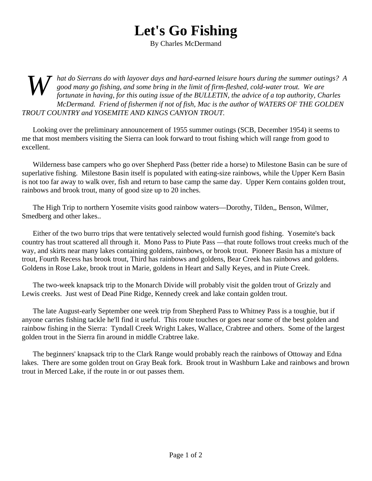## **Let's Go Fishing**

By Charles McDermand

*W hat do Sierrans do with layover days and hard-earned leisure hours during the summer outings? A good many go fishing, and some bring in the limit of firm-fleshed, cold-water trout. We are fortunate in having, for this outing issue of the BULLETIN, the advice of a top authority, Charles McDermand. Friend of fishermen if not of fish, Mac is the author of WATERS OF THE GOLDEN TROUT COUNTRY and YOSEMITE AND KINGS CANYON TROUT.*

Looking over the preliminary announcement of 1955 summer outings (SCB, December 1954) it seems to me that most members visiting the Sierra can look forward to trout fishing which will range from good to excellent.

Wilderness base campers who go over Shepherd Pass (better ride a horse) to Milestone Basin can be sure of superlative fishing. Milestone Basin itself is populated with eating-size rainbows, while the Upper Kern Basin is not too far away to walk over, fish and return to base camp the same day. Upper Kern contains golden trout, rainbows and brook trout, many of good size up to 20 inches.

The High Trip to northern Yosemite visits good rainbow waters—Dorothy, Tilden,, Benson, Wilmer, Smedberg and other lakes..

Either of the two burro trips that were tentatively selected would furnish good fishing. Yosemite's back country has trout scattered all through it. Mono Pass to Piute Pass —that route follows trout creeks much of the way, and skirts near many lakes containing goldens, rainbows, or brook trout. Pioneer Basin has a mixture of trout, Fourth Recess has brook trout, Third has rainbows and goldens, Bear Creek has rainbows and goldens. Goldens in Rose Lake, brook trout in Marie, goldens in Heart and Sally Keyes, and in Piute Creek.

The two-week knapsack trip to the Monarch Divide will probably visit the golden trout of Grizzly and Lewis creeks. Just west of Dead Pine Ridge, Kennedy creek and lake contain golden trout.

The late August-early September one week trip from Shepherd Pass to Whitney Pass is a toughie, but if anyone carries fishing tackle he'll find it useful. This route touches or goes near some of the best golden and rainbow fishing in the Sierra: Tyndall Creek Wright Lakes, Wallace, Crabtree and others. Some of the largest golden trout in the Sierra fin around in middle Crabtree lake.

The beginners' knapsack trip to the Clark Range would probably reach the rainbows of Ottoway and Edna lakes. There are some golden trout on Gray Beak fork. Brook trout in Washburn Lake and rainbows and brown trout in Merced Lake, if the route in or out passes them.